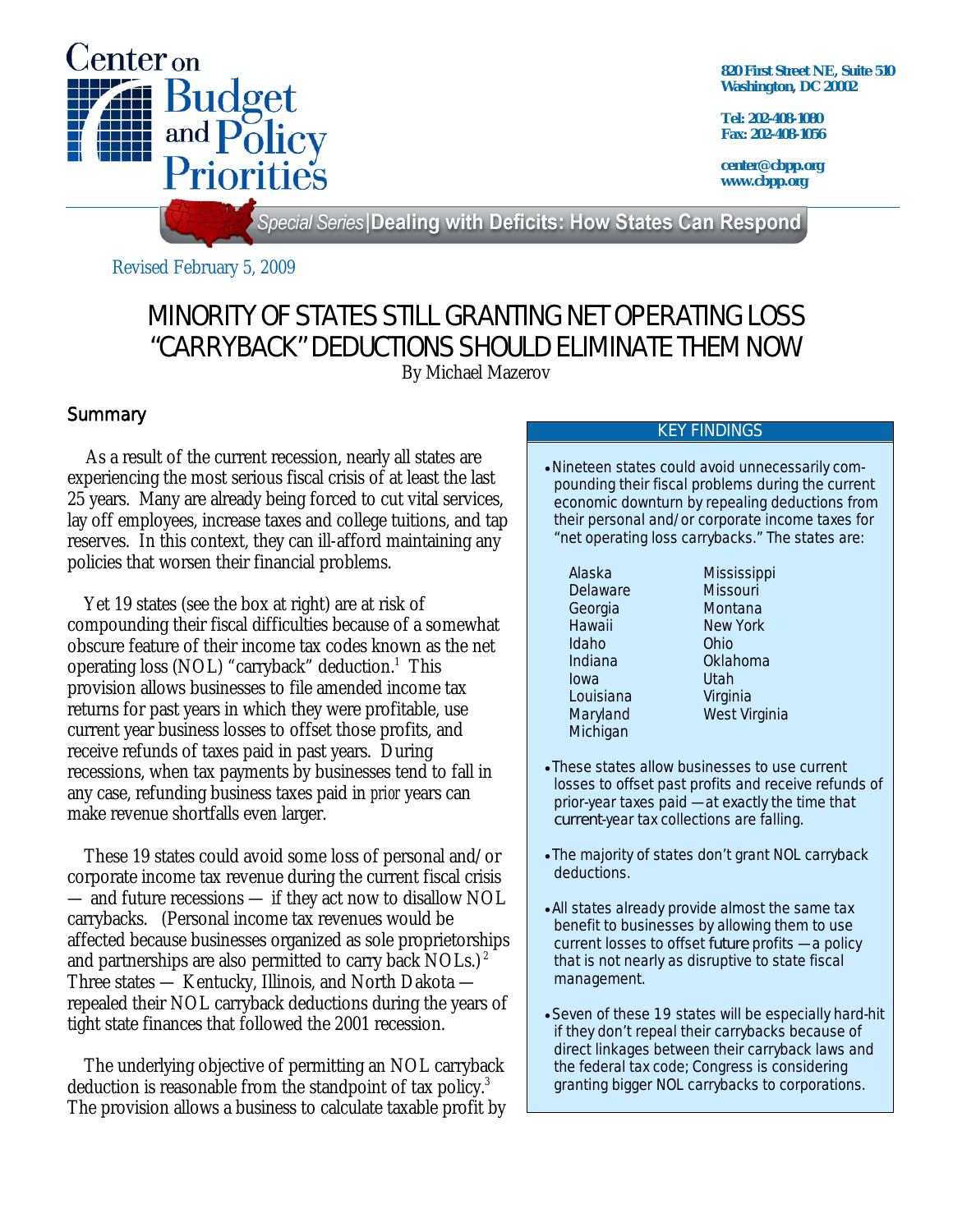

**820 First Street NE, Suite 510 Washington, DC 20002** 

**Tel: 202-408-1080 Fax: 202-408-1056** 

**center@cbpp.org www.cbpp.org** 

Special Series Dealing with Deficits: How States Can Respond

Revised February 5, 2009

# MINORITY OF STATES STILL GRANTING NET OPERATING LOSS "CARRYBACK" DEDUCTIONS SHOULD ELIMINATE THEM NOW

By Michael Mazerov

## **Summary**

 As a result of the current recession, nearly all states are experiencing the most serious fiscal crisis of at least the last 25 years. Many are already being forced to cut vital services, lay off employees, increase taxes and college tuitions, and tap reserves. In this context, they can ill-afford maintaining any policies that worsen their financial problems.

 Yet 19 states (see the box at right) are at risk of compounding their fiscal difficulties because of a somewhat obscure feature of their income tax codes known as the net operating loss (NOL) "carryback" deduction.<sup>1</sup> This provision allows businesses to file amended income tax returns for past years in which they were profitable, use current year business losses to offset those profits, and receive refunds of taxes paid in past years. During recessions, when tax payments by businesses tend to fall in any case, refunding business taxes paid in *prior* years can make revenue shortfalls even larger.

 These 19 states could avoid some loss of personal and/or corporate income tax revenue during the current fiscal crisis — and future recessions — if they act now to disallow NOL carrybacks. (Personal income tax revenues would be affected because businesses organized as sole proprietorships and partnerships are also permitted to carry back NOLs.)<sup>2</sup> Three states — Kentucky, Illinois, and North Dakota repealed their NOL carryback deductions during the years of tight state finances that followed the 2001 recession.

 The underlying objective of permitting an NOL carryback deduction is reasonable from the standpoint of tax policy.<sup>3</sup> The provision allows a business to calculate taxable profit by

#### KEY FINDINGS

Nineteen states could avoid unnecessarily compounding their fiscal problems during the current economic downturn by repealing deductions from their personal and/or corporate income taxes for "net operating loss carrybacks." The states are:

Delaware Missouri<br>Georgia Montana Hawaii New York Idaho Ohio Indiana Oklahoma Iowa Utah Louisiana Virginia **Michigan** 

Alaska Mississippi Montana Maryland West Virginia

- These states allow businesses to use current losses to offset past profits and receive refunds of prior-year taxes paid — at exactly the time that *current*-year tax collections are falling.
- The majority of states don't grant NOL carryback deductions.
- All states already provide almost the same tax benefit to businesses by allowing them to use current losses to offset *future* profits — a policy that is not nearly as disruptive to state fiscal management.
- Seven of these 19 states will be especially hard-hit if they don't repeal their carrybacks because of direct linkages between their carryback laws and the federal tax code; Congress is considering granting bigger NOL carrybacks to corporations.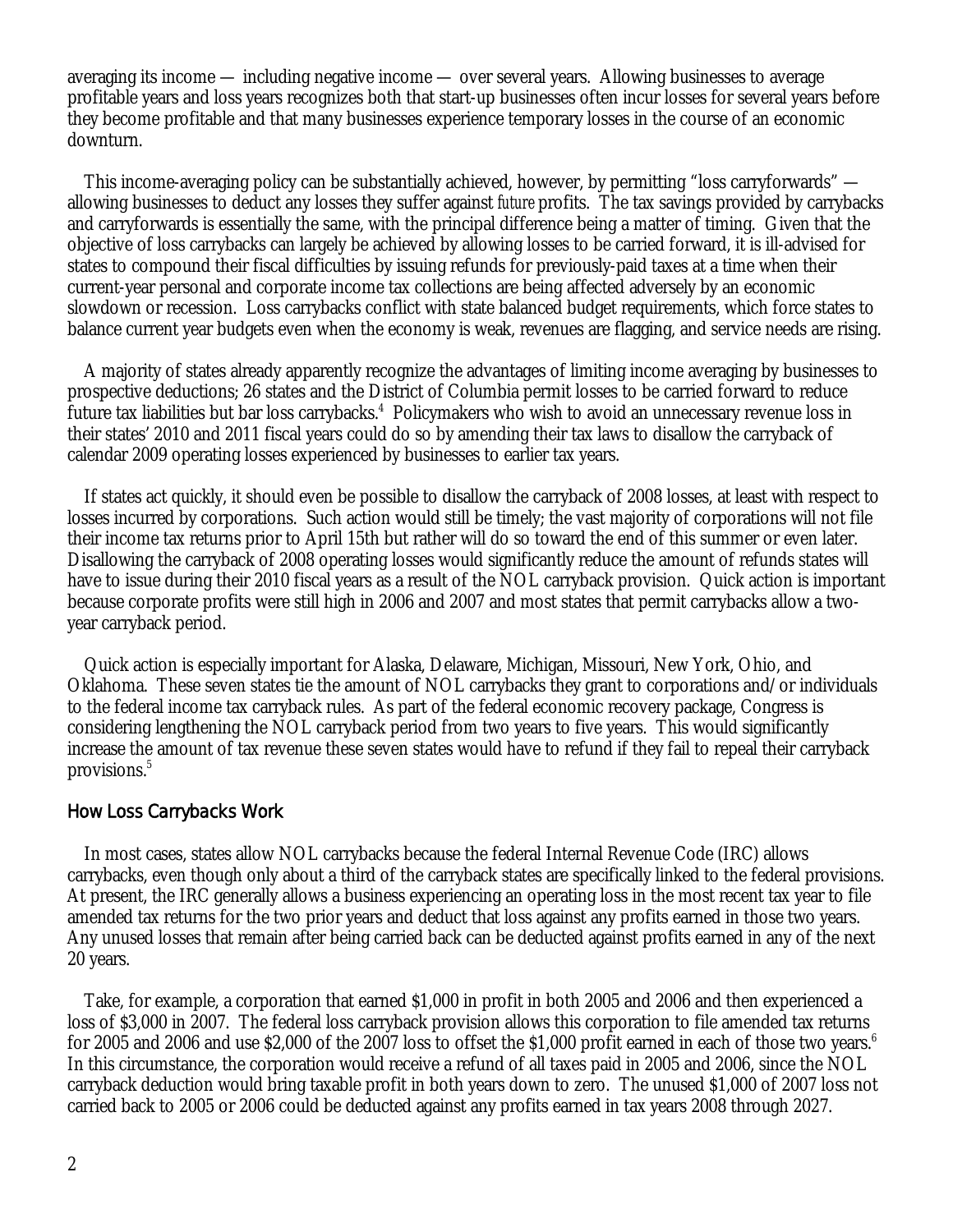averaging its income — including negative income — over several years. Allowing businesses to average profitable years and loss years recognizes both that start-up businesses often incur losses for several years before they become profitable and that many businesses experience temporary losses in the course of an economic downturn.

 This income-averaging policy can be substantially achieved, however, by permitting "loss carryforwards" allowing businesses to deduct any losses they suffer against *future* profits. The tax savings provided by carrybacks and carryforwards is essentially the same, with the principal difference being a matter of timing. Given that the objective of loss carrybacks can largely be achieved by allowing losses to be carried forward, it is ill-advised for states to compound their fiscal difficulties by issuing refunds for previously-paid taxes at a time when their current-year personal and corporate income tax collections are being affected adversely by an economic slowdown or recession. Loss carrybacks conflict with state balanced budget requirements, which force states to balance current year budgets even when the economy is weak, revenues are flagging, and service needs are rising.

 A majority of states already apparently recognize the advantages of limiting income averaging by businesses to prospective deductions; 26 states and the District of Columbia permit losses to be carried forward to reduce future tax liabilities but bar loss carrybacks.<sup>4</sup> Policymakers who wish to avoid an unnecessary revenue loss in their states' 2010 and 2011 fiscal years could do so by amending their tax laws to disallow the carryback of calendar 2009 operating losses experienced by businesses to earlier tax years.

 If states act quickly, it should even be possible to disallow the carryback of 2008 losses, at least with respect to losses incurred by corporations. Such action would still be timely; the vast majority of corporations will not file their income tax returns prior to April 15th but rather will do so toward the end of this summer or even later. Disallowing the carryback of 2008 operating losses would significantly reduce the amount of refunds states will have to issue during their 2010 fiscal years as a result of the NOL carryback provision. Quick action is important because corporate profits were still high in 2006 and 2007 and most states that permit carrybacks allow a twoyear carryback period.

 Quick action is especially important for Alaska, Delaware, Michigan, Missouri, New York, Ohio, and Oklahoma. These seven states tie the amount of NOL carrybacks they grant to corporations and/or individuals to the federal income tax carryback rules. As part of the federal economic recovery package, Congress is considering lengthening the NOL carryback period from two years to five years. This would significantly increase the amount of tax revenue these seven states would have to refund if they fail to repeal their carryback provisions.<sup>5</sup>

#### How Loss Carrybacks Work

 In most cases, states allow NOL carrybacks because the federal Internal Revenue Code (IRC) allows carrybacks, even though only about a third of the carryback states are specifically linked to the federal provisions. At present, the IRC generally allows a business experiencing an operating loss in the most recent tax year to file amended tax returns for the two prior years and deduct that loss against any profits earned in those two years. Any unused losses that remain after being carried back can be deducted against profits earned in any of the next 20 years.

 Take, for example, a corporation that earned \$1,000 in profit in both 2005 and 2006 and then experienced a loss of \$3,000 in 2007. The federal loss carryback provision allows this corporation to file amended tax returns for 2005 and 2006 and use \$2,000 of the 2007 loss to offset the \$1,000 profit earned in each of those two years. $^6$ In this circumstance, the corporation would receive a refund of all taxes paid in 2005 and 2006, since the NOL carryback deduction would bring taxable profit in both years down to zero. The unused \$1,000 of 2007 loss not carried back to 2005 or 2006 could be deducted against any profits earned in tax years 2008 through 2027.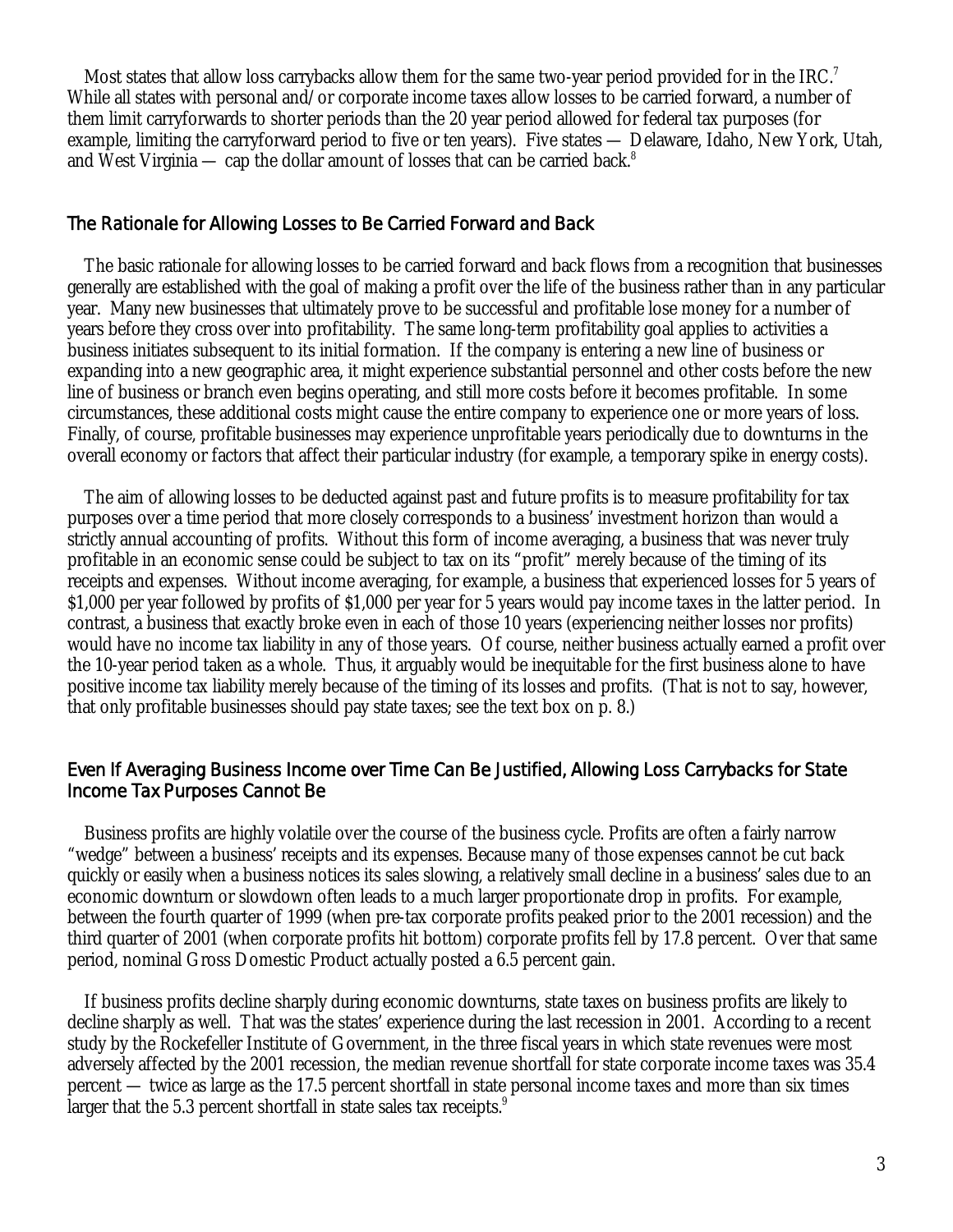Most states that allow loss carrybacks allow them for the same two-year period provided for in the IRC.<sup>7</sup> While all states with personal and/or corporate income taxes allow losses to be carried forward, a number of them limit carryforwards to shorter periods than the 20 year period allowed for federal tax purposes (for example, limiting the carryforward period to five or ten years). Five states — Delaware, Idaho, New York, Utah, and West Virginia — cap the dollar amount of losses that can be carried back.<sup>8</sup>

## The Rationale for Allowing Losses to Be Carried Forward and Back

 The basic rationale for allowing losses to be carried forward and back flows from a recognition that businesses generally are established with the goal of making a profit over the life of the business rather than in any particular year. Many new businesses that ultimately prove to be successful and profitable lose money for a number of years before they cross over into profitability. The same long-term profitability goal applies to activities a business initiates subsequent to its initial formation. If the company is entering a new line of business or expanding into a new geographic area, it might experience substantial personnel and other costs before the new line of business or branch even begins operating, and still more costs before it becomes profitable. In some circumstances, these additional costs might cause the entire company to experience one or more years of loss. Finally, of course, profitable businesses may experience unprofitable years periodically due to downturns in the overall economy or factors that affect their particular industry (for example, a temporary spike in energy costs).

 The aim of allowing losses to be deducted against past and future profits is to measure profitability for tax purposes over a time period that more closely corresponds to a business' investment horizon than would a strictly annual accounting of profits. Without this form of income averaging, a business that was never truly profitable in an economic sense could be subject to tax on its "profit" merely because of the timing of its receipts and expenses. Without income averaging, for example, a business that experienced losses for 5 years of \$1,000 per year followed by profits of \$1,000 per year for 5 years would pay income taxes in the latter period. In contrast, a business that exactly broke even in each of those 10 years (experiencing neither losses nor profits) would have no income tax liability in any of those years. Of course, neither business actually earned a profit over the 10-year period taken as a whole. Thus, it arguably would be inequitable for the first business alone to have positive income tax liability merely because of the timing of its losses and profits. (That is not to say, however, that only profitable businesses should pay state taxes; see the text box on p. 8.)

## Even If Averaging Business Income over Time Can Be Justified, Allowing Loss Carrybacks for State Income Tax Purposes Cannot Be

 Business profits are highly volatile over the course of the business cycle. Profits are often a fairly narrow "wedge" between a business' receipts and its expenses. Because many of those expenses cannot be cut back quickly or easily when a business notices its sales slowing, a relatively small decline in a business' sales due to an economic downturn or slowdown often leads to a much larger proportionate drop in profits. For example, between the fourth quarter of 1999 (when pre-tax corporate profits peaked prior to the 2001 recession) and the third quarter of 2001 (when corporate profits hit bottom) corporate profits fell by 17.8 percent. Over that same period, nominal Gross Domestic Product actually posted a 6.5 percent gain.

 If business profits decline sharply during economic downturns, state taxes on business profits are likely to decline sharply as well. That was the states' experience during the last recession in 2001. According to a recent study by the Rockefeller Institute of Government, in the three fiscal years in which state revenues were most adversely affected by the 2001 recession, the median revenue shortfall for state corporate income taxes was 35.4 percent — twice as large as the 17.5 percent shortfall in state personal income taxes and more than six times larger that the 5.3 percent shortfall in state sales tax receipts. $9$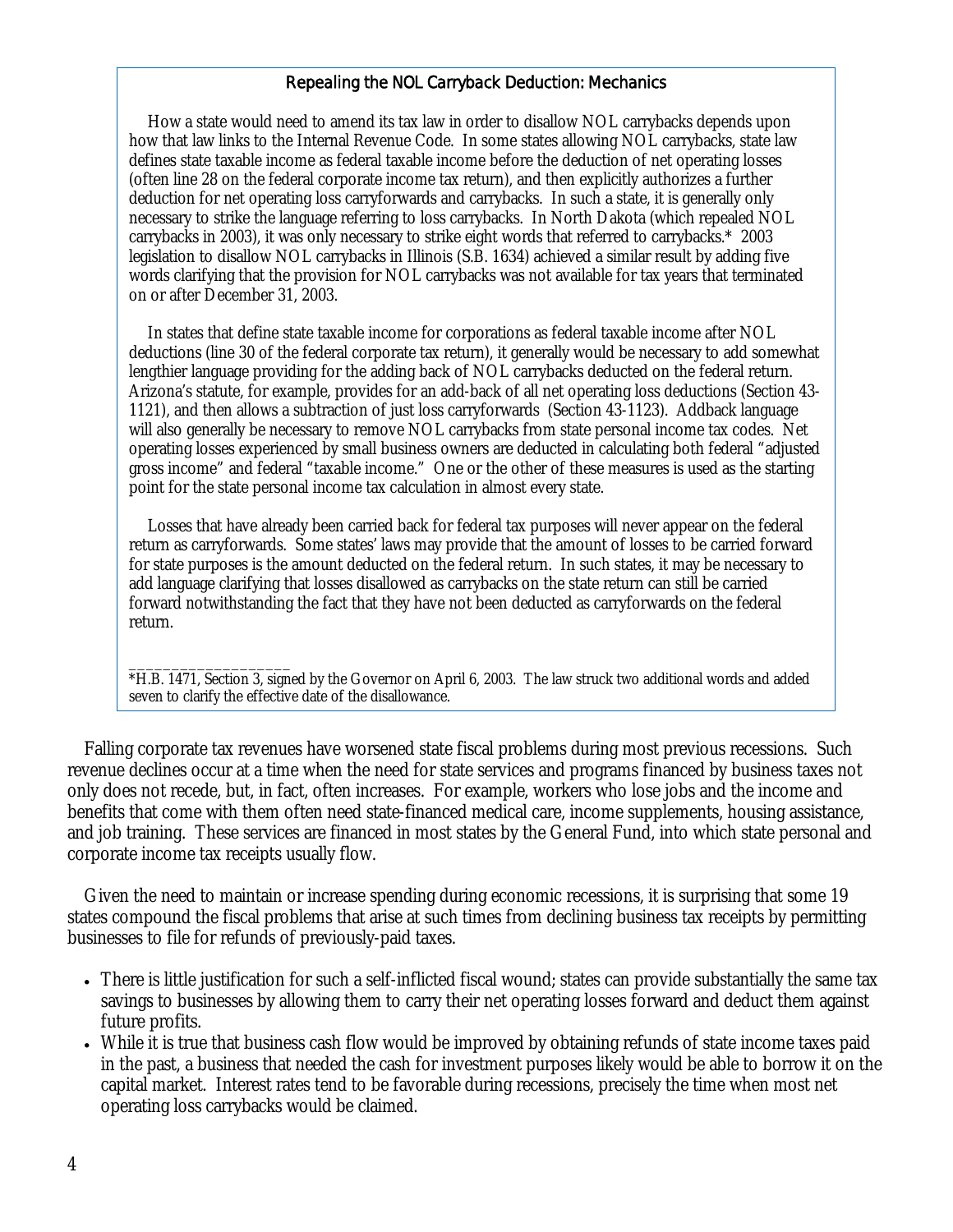## Repealing the NOL Carryback Deduction: Mechanics

 How a state would need to amend its tax law in order to disallow NOL carrybacks depends upon how that law links to the Internal Revenue Code. In some states allowing NOL carrybacks, state law defines state taxable income as federal taxable income before the deduction of net operating losses (often line 28 on the federal corporate income tax return), and then explicitly authorizes a further deduction for net operating loss carryforwards and carrybacks. In such a state, it is generally only necessary to strike the language referring to loss carrybacks. In North Dakota (which repealed NOL carrybacks in 2003), it was only necessary to strike eight words that referred to carrybacks.\* 2003 legislation to disallow NOL carrybacks in Illinois (S.B. 1634) achieved a similar result by adding five words clarifying that the provision for NOL carrybacks was not available for tax years that terminated on or after December 31, 2003.

 In states that define state taxable income for corporations as federal taxable income after NOL deductions (line 30 of the federal corporate tax return), it generally would be necessary to add somewhat lengthier language providing for the adding back of NOL carrybacks deducted on the federal return. Arizona's statute, for example, provides for an add-back of all net operating loss deductions (Section 43- 1121), and then allows a subtraction of just loss carryforwards (Section 43-1123). Addback language will also generally be necessary to remove NOL carrybacks from state personal income tax codes. Net operating losses experienced by small business owners are deducted in calculating both federal "adjusted gross income" and federal "taxable income." One or the other of these measures is used as the starting point for the state personal income tax calculation in almost every state.

 Losses that have already been carried back for federal tax purposes will never appear on the federal return as carryforwards. Some states' laws may provide that the amount of losses to be carried forward for state purposes is the amount deducted on the federal return. In such states, it may be necessary to add language clarifying that losses disallowed as carrybacks on the state return can still be carried forward notwithstanding the fact that they have not been deducted as carryforwards on the federal return.

\_\_\_\_\_\_\_\_\_\_\_\_\_\_\_\_\_\_\_ \*H.B. 1471, Section 3, signed by the Governor on April 6, 2003. The law struck two additional words and added seven to clarify the effective date of the disallowance.

 Falling corporate tax revenues have worsened state fiscal problems during most previous recessions. Such revenue declines occur at a time when the need for state services and programs financed by business taxes not only does not recede, but, in fact, often increases. For example, workers who lose jobs and the income and benefits that come with them often need state-financed medical care, income supplements, housing assistance, and job training. These services are financed in most states by the General Fund, into which state personal and corporate income tax receipts usually flow.

 Given the need to maintain or increase spending during economic recessions, it is surprising that some 19 states compound the fiscal problems that arise at such times from declining business tax receipts by permitting businesses to file for refunds of previously-paid taxes.

- There is little justification for such a self-inflicted fiscal wound; states can provide substantially the same tax savings to businesses by allowing them to carry their net operating losses forward and deduct them against future profits.
- While it is true that business cash flow would be improved by obtaining refunds of state income taxes paid in the past, a business that needed the cash for investment purposes likely would be able to borrow it on the capital market. Interest rates tend to be favorable during recessions, precisely the time when most net operating loss carrybacks would be claimed.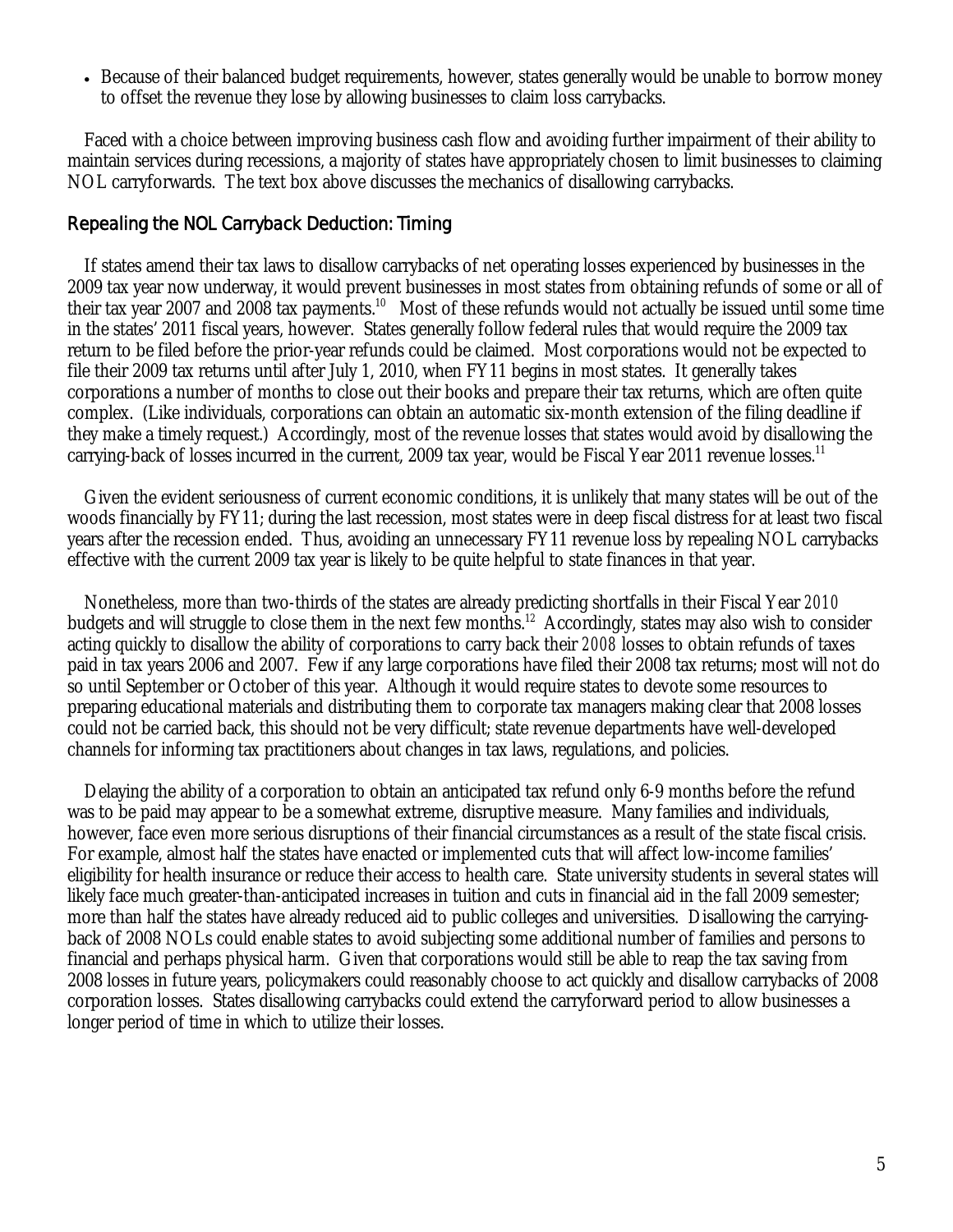Because of their balanced budget requirements, however, states generally would be unable to borrow money to offset the revenue they lose by allowing businesses to claim loss carrybacks.

Faced with a choice between improving business cash flow and avoiding further impairment of their ability to maintain services during recessions, a majority of states have appropriately chosen to limit businesses to claiming NOL carryforwards. The text box above discusses the mechanics of disallowing carrybacks.

# Repealing the NOL Carryback Deduction: Timing

 If states amend their tax laws to disallow carrybacks of net operating losses experienced by businesses in the 2009 tax year now underway, it would prevent businesses in most states from obtaining refunds of some or all of their tax year 2007 and 2008 tax payments.<sup>10</sup> Most of these refunds would not actually be issued until some time in the states' 2011 fiscal years, however. States generally follow federal rules that would require the 2009 tax return to be filed before the prior-year refunds could be claimed. Most corporations would not be expected to file their 2009 tax returns until after July 1, 2010, when FY11 begins in most states. It generally takes corporations a number of months to close out their books and prepare their tax returns, which are often quite complex. (Like individuals, corporations can obtain an automatic six-month extension of the filing deadline if they make a timely request.) Accordingly, most of the revenue losses that states would avoid by disallowing the carrying-back of losses incurred in the current, 2009 tax year, would be Fiscal Year 2011 revenue losses.<sup>11</sup>

 Given the evident seriousness of current economic conditions, it is unlikely that many states will be out of the woods financially by FY11; during the last recession, most states were in deep fiscal distress for at least two fiscal years after the recession ended. Thus, avoiding an unnecessary FY11 revenue loss by repealing NOL carrybacks effective with the current 2009 tax year is likely to be quite helpful to state finances in that year.

 Nonetheless, more than two-thirds of the states are already predicting shortfalls in their Fiscal Year *2010* budgets and will struggle to close them in the next few months.<sup>12</sup> Accordingly, states may also wish to consider acting quickly to disallow the ability of corporations to carry back their *2008* losses to obtain refunds of taxes paid in tax years 2006 and 2007. Few if any large corporations have filed their 2008 tax returns; most will not do so until September or October of this year. Although it would require states to devote some resources to preparing educational materials and distributing them to corporate tax managers making clear that 2008 losses could not be carried back, this should not be very difficult; state revenue departments have well-developed channels for informing tax practitioners about changes in tax laws, regulations, and policies.

 Delaying the ability of a corporation to obtain an anticipated tax refund only 6-9 months before the refund was to be paid may appear to be a somewhat extreme, disruptive measure. Many families and individuals, however, face even more serious disruptions of their financial circumstances as a result of the state fiscal crisis. For example, almost half the states have enacted or implemented cuts that will affect low-income families' eligibility for health insurance or reduce their access to health care. State university students in several states will likely face much greater-than-anticipated increases in tuition and cuts in financial aid in the fall 2009 semester; more than half the states have already reduced aid to public colleges and universities. Disallowing the carryingback of 2008 NOLs could enable states to avoid subjecting some additional number of families and persons to financial and perhaps physical harm. Given that corporations would still be able to reap the tax saving from 2008 losses in future years, policymakers could reasonably choose to act quickly and disallow carrybacks of 2008 corporation losses. States disallowing carrybacks could extend the carryforward period to allow businesses a longer period of time in which to utilize their losses.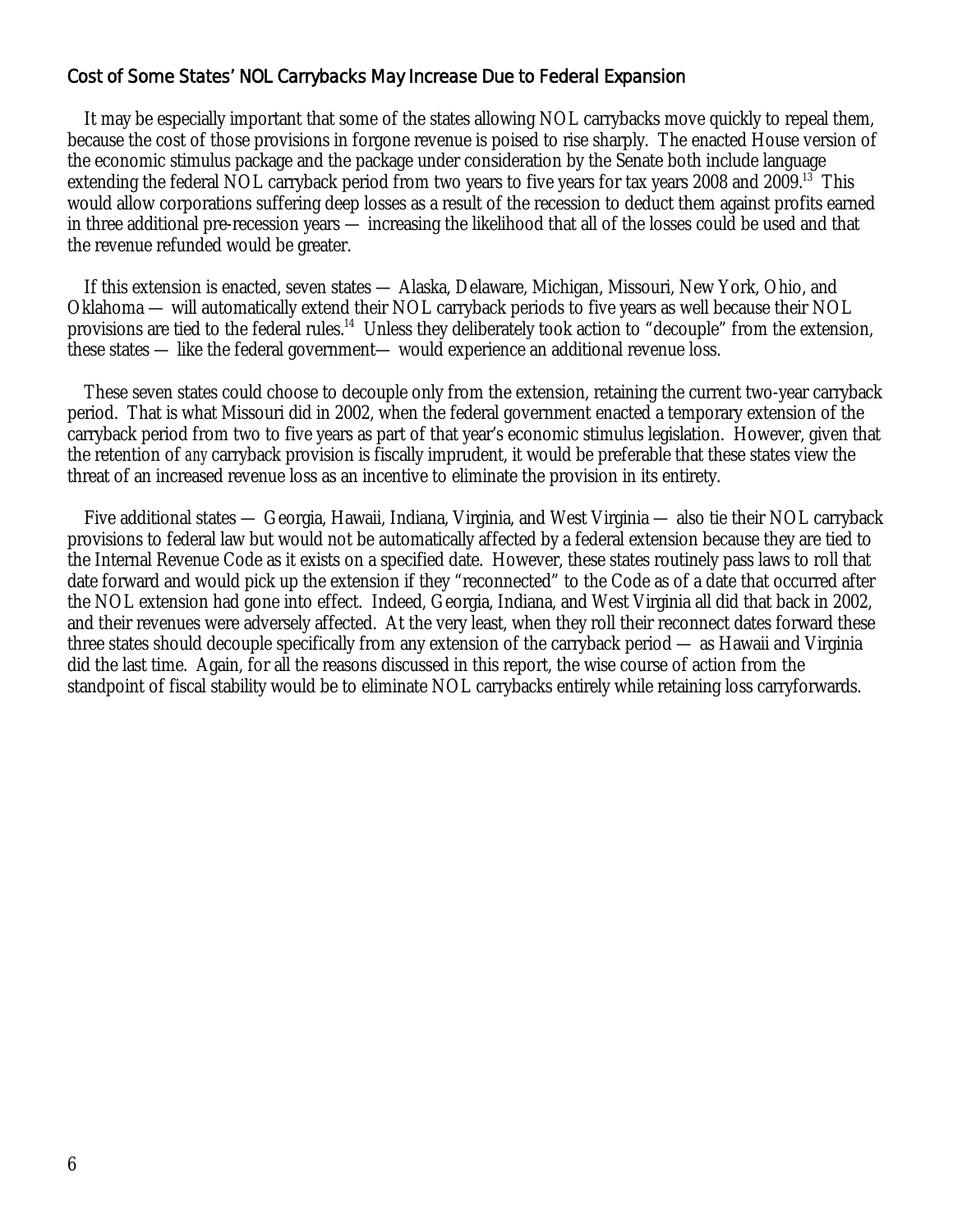# Cost of Some States' NOL Carrybacks May Increase Due to Federal Expansion

 It may be especially important that some of the states allowing NOL carrybacks move quickly to repeal them, because the cost of those provisions in forgone revenue is poised to rise sharply. The enacted House version of the economic stimulus package and the package under consideration by the Senate both include language extending the federal NOL carryback period from two years to five years for tax years 2008 and 2009.<sup>13</sup> This would allow corporations suffering deep losses as a result of the recession to deduct them against profits earned in three additional pre-recession years — increasing the likelihood that all of the losses could be used and that the revenue refunded would be greater.

 If this extension is enacted, seven states — Alaska, Delaware, Michigan, Missouri, New York, Ohio, and Oklahoma — will automatically extend their NOL carryback periods to five years as well because their NOL provisions are tied to the federal rules.<sup>14</sup> Unless they deliberately took action to "decouple" from the extension, these states — like the federal government— would experience an additional revenue loss.

 These seven states could choose to decouple only from the extension, retaining the current two-year carryback period. That is what Missouri did in 2002, when the federal government enacted a temporary extension of the carryback period from two to five years as part of that year's economic stimulus legislation. However, given that the retention of *any* carryback provision is fiscally imprudent, it would be preferable that these states view the threat of an increased revenue loss as an incentive to eliminate the provision in its entirety.

 Five additional states — Georgia, Hawaii, Indiana, Virginia, and West Virginia — also tie their NOL carryback provisions to federal law but would not be automatically affected by a federal extension because they are tied to the Internal Revenue Code as it exists on a specified date. However, these states routinely pass laws to roll that date forward and would pick up the extension if they "reconnected" to the Code as of a date that occurred after the NOL extension had gone into effect. Indeed, Georgia, Indiana, and West Virginia all did that back in 2002, and their revenues were adversely affected. At the very least, when they roll their reconnect dates forward these three states should decouple specifically from any extension of the carryback period — as Hawaii and Virginia did the last time. Again, for all the reasons discussed in this report, the wise course of action from the standpoint of fiscal stability would be to eliminate NOL carrybacks entirely while retaining loss carryforwards.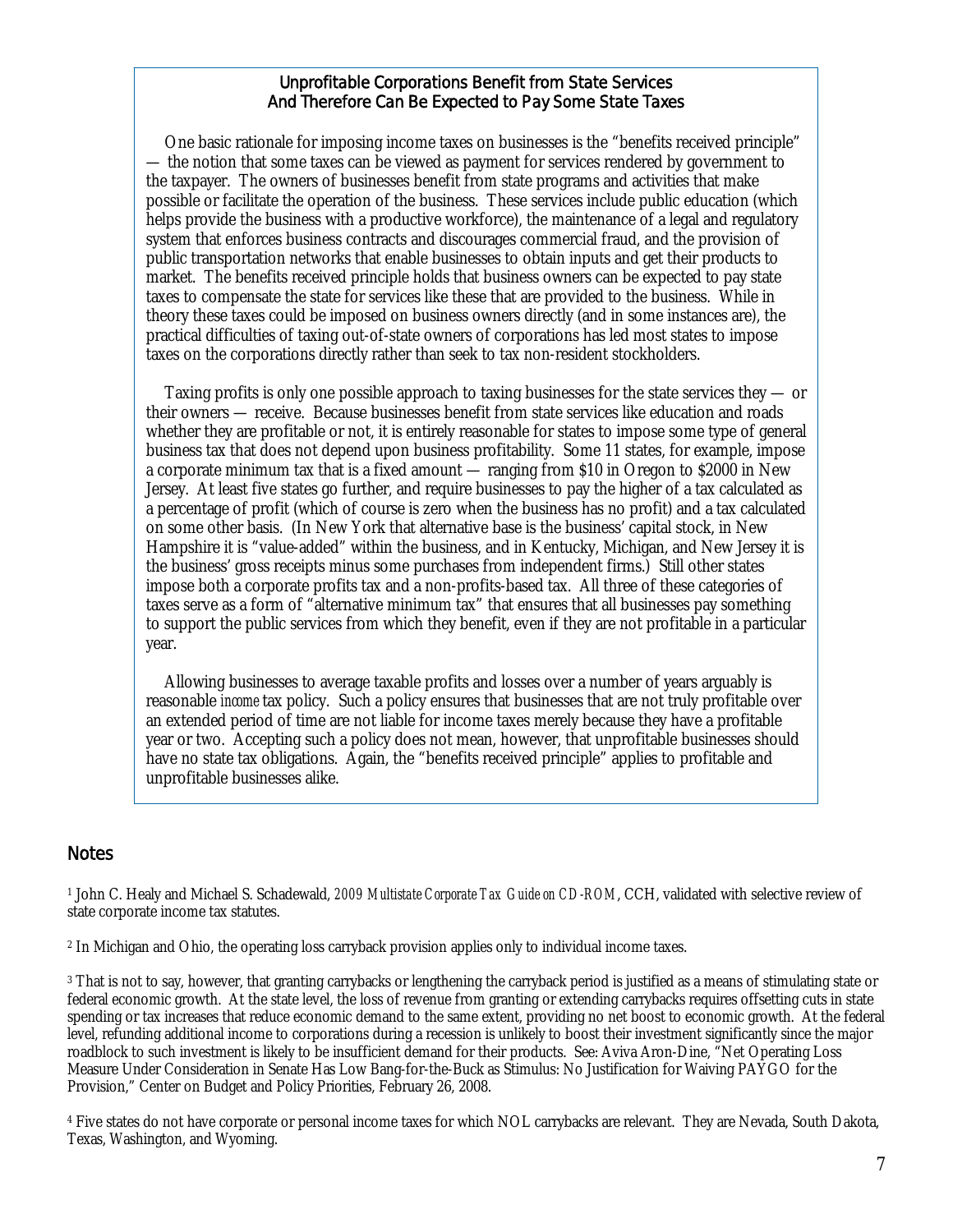#### Unprofitable Corporations Benefit from State Services And Therefore Can Be Expected to Pay *Some* State Taxes

 One basic rationale for imposing income taxes on businesses is the "benefits received principle" — the notion that some taxes can be viewed as payment for services rendered by government to the taxpayer. The owners of businesses benefit from state programs and activities that make possible or facilitate the operation of the business. These services include public education (which helps provide the business with a productive workforce), the maintenance of a legal and regulatory system that enforces business contracts and discourages commercial fraud, and the provision of public transportation networks that enable businesses to obtain inputs and get their products to market. The benefits received principle holds that business owners can be expected to pay state taxes to compensate the state for services like these that are provided to the business. While in theory these taxes could be imposed on business owners directly (and in some instances are), the practical difficulties of taxing out-of-state owners of corporations has led most states to impose taxes on the corporations directly rather than seek to tax non-resident stockholders.

 Taxing profits is only one possible approach to taxing businesses for the state services they — or their owners — receive. Because businesses benefit from state services like education and roads whether they are profitable or not, it is entirely reasonable for states to impose some type of general business tax that does not depend upon business profitability. Some 11 states, for example, impose a corporate minimum tax that is a fixed amount — ranging from \$10 in Oregon to \$2000 in New Jersey. At least five states go further, and require businesses to pay the higher of a tax calculated as a percentage of profit (which of course is zero when the business has no profit) and a tax calculated on some other basis. (In New York that alternative base is the business' capital stock, in New Hampshire it is "value-added" within the business, and in Kentucky, Michigan, and New Jersey it is the business' gross receipts minus some purchases from independent firms.) Still other states impose both a corporate profits tax and a non-profits-based tax. All three of these categories of taxes serve as a form of "alternative minimum tax" that ensures that all businesses pay something to support the public services from which they benefit, even if they are not profitable in a particular year.

 Allowing businesses to average taxable profits and losses over a number of years arguably is reasonable *income* tax policy. Such a policy ensures that businesses that are not truly profitable over an extended period of time are not liable for income taxes merely because they have a profitable year or two. Accepting such a policy does not mean, however, that unprofitable businesses should have no state tax obligations. Again, the "benefits received principle" applies to profitable and unprofitable businesses alike.

## **Notes**

1 John C. Healy and Michael S. Schadewald, *2009 Multistate Corporate Tax Guide on CD-ROM*, CCH, validated with selective review of state corporate income tax statutes.

2 In Michigan and Ohio, the operating loss carryback provision applies only to individual income taxes.

3 That is not to say, however, that granting carrybacks or lengthening the carryback period is justified as a means of stimulating state or federal economic growth. At the state level, the loss of revenue from granting or extending carrybacks requires offsetting cuts in state spending or tax increases that reduce economic demand to the same extent, providing no net boost to economic growth. At the federal level, refunding additional income to corporations during a recession is unlikely to boost their investment significantly since the major roadblock to such investment is likely to be insufficient demand for their products. See: Aviva Aron-Dine, "Net Operating Loss Measure Under Consideration in Senate Has Low Bang-for-the-Buck as Stimulus: No Justification for Waiving PAYGO for the Provision," Center on Budget and Policy Priorities, February 26, 2008.

4 Five states do not have corporate or personal income taxes for which NOL carrybacks are relevant. They are Nevada, South Dakota, Texas, Washington, and Wyoming.